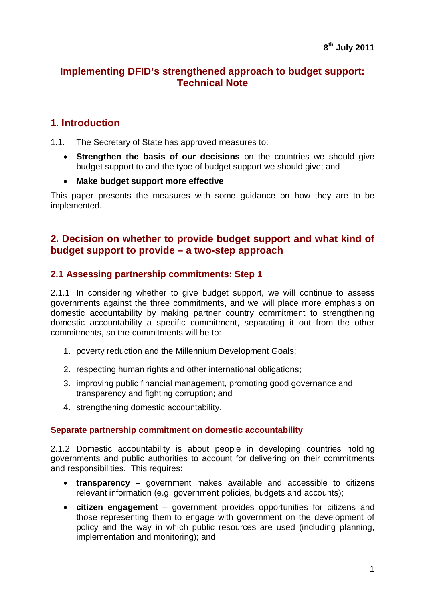## **Implementing DFID's strengthened approach to budget support: Technical Note**

## **1. Introduction**

1.1. The Secretary of State has approved measures to:

- **Strengthen the basis of our decisions** on the countries we should give budget support to and the type of budget support we should give; and
- **Make budget support more effective**

This paper presents the measures with some guidance on how they are to be implemented.

## **2. Decision on whether to provide budget support and what kind of budget support to provide – a two-step approach**

### **2.1 Assessing partnership commitments: Step 1**

2.1.1. In considering whether to give budget support, we will continue to assess governments against the three commitments, and we will place more emphasis on domestic accountability by making partner country commitment to strengthening domestic accountability a specific commitment, separating it out from the other commitments, so the commitments will be to:

- 1. poverty reduction and the Millennium Development Goals;
- 2. respecting human rights and other international obligations;
- 3. improving public financial management, promoting good governance and transparency and fighting corruption; and
- 4. strengthening domestic accountability.

#### **Separate partnership commitment on domestic accountability**

2.1.2 Domestic accountability is about people in developing countries holding governments and public authorities to account for delivering on their commitments and responsibilities. This requires:

- **transparency** government makes available and accessible to citizens relevant information (e.g. government policies, budgets and accounts);
- **citizen engagement** government provides opportunities for citizens and those representing them to engage with government on the development of policy and the way in which public resources are used (including planning, implementation and monitoring); and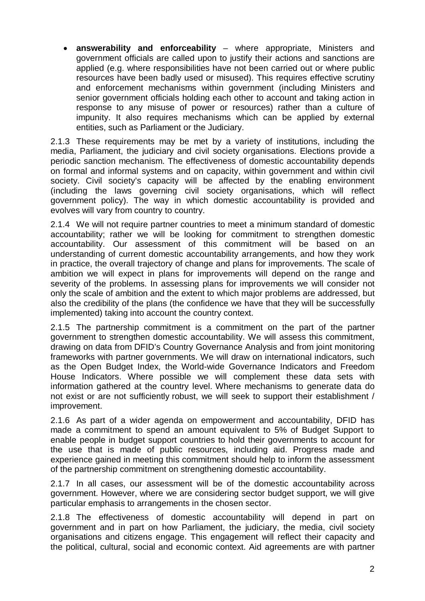**answerability and enforceability** – where appropriate, Ministers and government officials are called upon to justify their actions and sanctions are applied (e.g. where responsibilities have not been carried out or where public resources have been badly used or misused). This requires effective scrutiny and enforcement mechanisms within government (including Ministers and senior government officials holding each other to account and taking action in response to any misuse of power or resources) rather than a culture of impunity. It also requires mechanisms which can be applied by external entities, such as Parliament or the Judiciary.

2.1.3 These requirements may be met by a variety of institutions, including the media, Parliament, the judiciary and civil society organisations. Elections provide a periodic sanction mechanism. The effectiveness of domestic accountability depends on formal and informal systems and on capacity, within government and within civil society. Civil society's capacity will be affected by the enabling environment (including the laws governing civil society organisations, which will reflect government policy). The way in which domestic accountability is provided and evolves will vary from country to country.

2.1.4 We will not require partner countries to meet a minimum standard of domestic accountability; rather we will be looking for commitment to strengthen domestic accountability. Our assessment of this commitment will be based on an understanding of current domestic accountability arrangements, and how they work in practice, the overall trajectory of change and plans for improvements. The scale of ambition we will expect in plans for improvements will depend on the range and severity of the problems. In assessing plans for improvements we will consider not only the scale of ambition and the extent to which major problems are addressed, but also the credibility of the plans (the confidence we have that they will be successfully implemented) taking into account the country context.

2.1.5 The partnership commitment is a commitment on the part of the partner government to strengthen domestic accountability. We will assess this commitment, drawing on data from DFID's Country Governance Analysis and from joint monitoring frameworks with partner governments. We will draw on international indicators, such as the Open Budget Index, the World-wide Governance Indicators and Freedom House Indicators. Where possible we will complement these data sets with information gathered at the country level. Where mechanisms to generate data do not exist or are not sufficiently robust, we will seek to support their establishment / improvement.

2.1.6 As part of a wider agenda on empowerment and accountability, DFID has made a commitment to spend an amount equivalent to 5% of Budget Support to enable people in budget support countries to hold their governments to account for the use that is made of public resources, including aid. Progress made and experience gained in meeting this commitment should help to inform the assessment of the partnership commitment on strengthening domestic accountability.

2.1.7 In all cases, our assessment will be of the domestic accountability across government. However, where we are considering sector budget support, we will give particular emphasis to arrangements in the chosen sector.

2.1.8 The effectiveness of domestic accountability will depend in part on government and in part on how Parliament, the judiciary, the media, civil society organisations and citizens engage. This engagement will reflect their capacity and the political, cultural, social and economic context. Aid agreements are with partner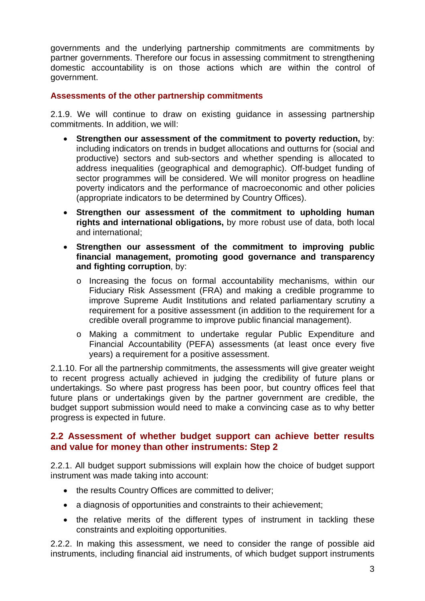governments and the underlying partnership commitments are commitments by partner governments. Therefore our focus in assessing commitment to strengthening domestic accountability is on those actions which are within the control of government.

#### **Assessments of the other partnership commitments**

2.1.9. We will continue to draw on existing guidance in assessing partnership commitments. In addition, we will:

- **Strengthen our assessment of the commitment to poverty reduction,** by: including indicators on trends in budget allocations and outturns for (social and productive) sectors and sub-sectors and whether spending is allocated to address inequalities (geographical and demographic). Off-budget funding of sector programmes will be considered. We will monitor progress on headline poverty indicators and the performance of macroeconomic and other policies (appropriate indicators to be determined by Country Offices).
- **Strengthen our assessment of the commitment to upholding human rights and international obligations,** by more robust use of data, both local and international;
- **Strengthen our assessment of the commitment to improving public financial management, promoting good governance and transparency and fighting corruption**, by:
	- o Increasing the focus on formal accountability mechanisms, within our Fiduciary Risk Assessment (FRA) and making a credible programme to improve Supreme Audit Institutions and related parliamentary scrutiny a requirement for a positive assessment (in addition to the requirement for a credible overall programme to improve public financial management).
	- o Making a commitment to undertake regular Public Expenditure and Financial Accountability (PEFA) assessments (at least once every five years) a requirement for a positive assessment.

2.1.10. For all the partnership commitments, the assessments will give greater weight to recent progress actually achieved in judging the credibility of future plans or undertakings. So where past progress has been poor, but country offices feel that future plans or undertakings given by the partner government are credible, the budget support submission would need to make a convincing case as to why better progress is expected in future.

### **2.2 Assessment of whether budget support can achieve better results and value for money than other instruments: Step 2**

2.2.1. All budget support submissions will explain how the choice of budget support instrument was made taking into account:

- the results Country Offices are committed to deliver;
- a diagnosis of opportunities and constraints to their achievement;
- the relative merits of the different types of instrument in tackling these constraints and exploiting opportunities.

2.2.2. In making this assessment, we need to consider the range of possible aid instruments, including financial aid instruments, of which budget support instruments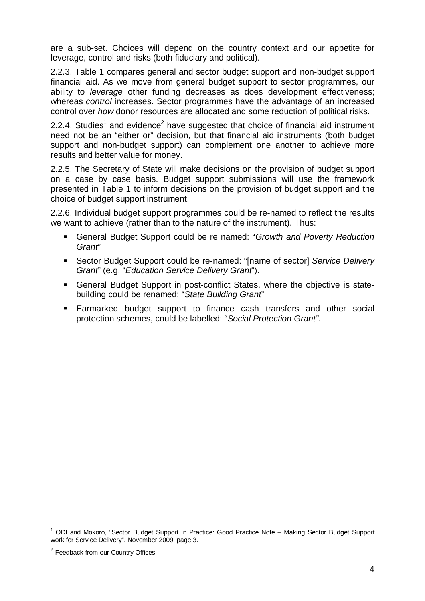are a sub-set. Choices will depend on the country context and our appetite for leverage, control and risks (both fiduciary and political).

2.2.3. Table 1 compares general and sector budget support and non-budget support financial aid. As we move from general budget support to sector programmes, our ability to *leverage* other funding decreases as does development effectiveness; whereas *control* increases. Sector programmes have the advantage of an increased control over *how* donor resources are allocated and some reduction of political risks.

2.2.4. Studies<sup>1</sup> and evidence<sup>2</sup> have suggested that choice of financial aid instrument need not be an "either or" decision, but that financial aid instruments (both budget support and non-budget support) can complement one another to achieve more results and better value for money.

2.2.5. The Secretary of State will make decisions on the provision of budget support on a case by case basis. Budget support submissions will use the framework presented in Table 1 to inform decisions on the provision of budget support and the choice of budget support instrument.

2.2.6. Individual budget support programmes could be re-named to reflect the results we want to achieve (rather than to the nature of the instrument). Thus:

- General Budget Support could be re named: "*Growth and Poverty Reduction Grant*"
- Sector Budget Support could be re-named: "[name of sector] *Service Delivery Grant*" (e.g. "*Education Service Delivery Grant*").
- General Budget Support in post-conflict States, where the objective is statebuilding could be renamed: "*State Building Grant*"
- **Earmarked budget support to finance cash transfers and other social** protection schemes, could be labelled: "*Social Protection Grant"*.

 $\overline{a}$ 

<sup>&</sup>lt;sup>1</sup> ODI and Mokoro, "Sector Budget Support In Practice: Good Practice Note - Making Sector Budget Support work for Service Delivery", November 2009, page 3.

<sup>&</sup>lt;sup>2</sup> Feedback from our Country Offices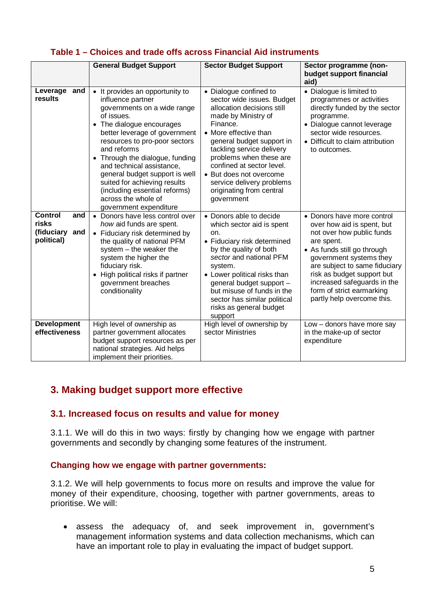|  |  |  |  |  | Table 1 – Choices and trade offs across Financial Aid instruments |
|--|--|--|--|--|-------------------------------------------------------------------|
|--|--|--|--|--|-------------------------------------------------------------------|

|                                                                   | <b>General Budget Support</b>                                                                                                                                                                                                                                                                                                                                                                                                   | <b>Sector Budget Support</b>                                                                                                                                                                                                                                                                                                                                       | Sector programme (non-<br>budget support financial                                                                                                                                                                                                                                                                     |
|-------------------------------------------------------------------|---------------------------------------------------------------------------------------------------------------------------------------------------------------------------------------------------------------------------------------------------------------------------------------------------------------------------------------------------------------------------------------------------------------------------------|--------------------------------------------------------------------------------------------------------------------------------------------------------------------------------------------------------------------------------------------------------------------------------------------------------------------------------------------------------------------|------------------------------------------------------------------------------------------------------------------------------------------------------------------------------------------------------------------------------------------------------------------------------------------------------------------------|
|                                                                   |                                                                                                                                                                                                                                                                                                                                                                                                                                 |                                                                                                                                                                                                                                                                                                                                                                    | aid)                                                                                                                                                                                                                                                                                                                   |
| Leverage<br>and<br>results                                        | It provides an opportunity to<br>influence partner<br>governments on a wide range<br>of issues.<br>• The dialogue encourages<br>better leverage of government<br>resources to pro-poor sectors<br>and reforms<br>Through the dialogue, funding<br>and technical assistance,<br>general budget support is well<br>suited for achieving results<br>(including essential reforms)<br>across the whole of<br>government expenditure | • Dialogue confined to<br>sector wide issues. Budget<br>allocation decisions still<br>made by Ministry of<br>Finance.<br>• More effective than<br>general budget support in<br>tackling service delivery<br>problems when these are<br>confined at sector level.<br>• But does not overcome<br>service delivery problems<br>originating from central<br>government | • Dialogue is limited to<br>programmes or activities<br>directly funded by the sector<br>programme.<br>· Dialogue cannot leverage<br>sector wide resources.<br>• Difficult to claim attribution<br>to outcomes.                                                                                                        |
| <b>Control</b><br>and<br>risks<br>(fiduciary<br>and<br>political) | • Donors have less control over<br>how aid funds are spent.<br>• Fiduciary risk determined by<br>the quality of national PFM<br>system - the weaker the<br>system the higher the<br>fiduciary risk.<br>High political risks if partner<br>$\bullet$<br>government breaches<br>conditionality                                                                                                                                    | • Donors able to decide<br>which sector aid is spent<br>on.<br>• Fiduciary risk determined<br>by the quality of both<br>sector and national PFM<br>system.<br>• Lower political risks than<br>general budget support -<br>but misuse of funds in the<br>sector has similar political<br>risks as general budget<br>support                                         | • Donors have more control<br>over how aid is spent, but<br>not over how public funds<br>are spent.<br>• As funds still go through<br>government systems they<br>are subject to same fiduciary<br>risk as budget support but<br>increased safeguards in the<br>form of strict earmarking<br>partly help overcome this. |
| <b>Development</b><br>effectiveness                               | High level of ownership as<br>partner government allocates<br>budget support resources as per<br>national strategies. Aid helps<br>implement their priorities.                                                                                                                                                                                                                                                                  | High level of ownership by<br>sector Ministries                                                                                                                                                                                                                                                                                                                    | Low - donors have more say<br>in the make-up of sector<br>expenditure                                                                                                                                                                                                                                                  |

# **3. Making budget support more effective**

## **3.1. Increased focus on results and value for money**

3.1.1. We will do this in two ways: firstly by changing how we engage with partner governments and secondly by changing some features of the instrument.

#### **Changing how we engage with partner governments:**

3.1.2. We will help governments to focus more on results and improve the value for money of their expenditure, choosing, together with partner governments, areas to prioritise. We will:

 assess the adequacy of, and seek improvement in, government's management information systems and data collection mechanisms, which can have an important role to play in evaluating the impact of budget support.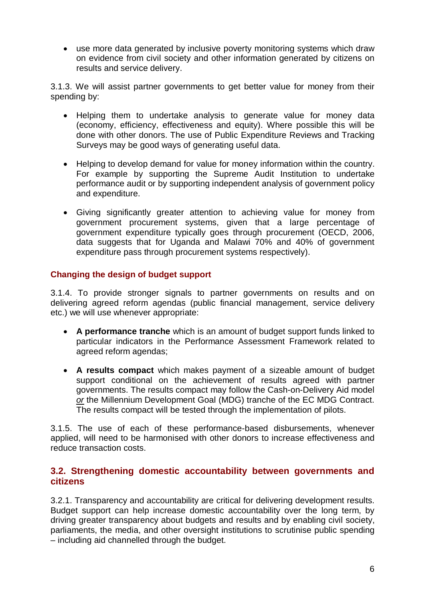use more data generated by inclusive poverty monitoring systems which draw on evidence from civil society and other information generated by citizens on results and service delivery.

3.1.3. We will assist partner governments to get better value for money from their spending by:

- Helping them to undertake analysis to generate value for money data (economy, efficiency, effectiveness and equity). Where possible this will be done with other donors. The use of Public Expenditure Reviews and Tracking Surveys may be good ways of generating useful data.
- Helping to develop demand for value for money information within the country. For example by supporting the Supreme Audit Institution to undertake performance audit or by supporting independent analysis of government policy and expenditure.
- Giving significantly greater attention to achieving value for money from government procurement systems, given that a large percentage of government expenditure typically goes through procurement (OECD, 2006, data suggests that for Uganda and Malawi 70% and 40% of government expenditure pass through procurement systems respectively).

#### **Changing the design of budget support**

3.1.4. To provide stronger signals to partner governments on results and on delivering agreed reform agendas (public financial management, service delivery etc.) we will use whenever appropriate:

- **A performance tranche** which is an amount of budget support funds linked to particular indicators in the Performance Assessment Framework related to agreed reform agendas;
- **A results compact** which makes payment of a sizeable amount of budget support conditional on the achievement of results agreed with partner governments. The results compact may follow the Cash-on-Delivery Aid model *or* the Millennium Development Goal (MDG) tranche of the EC MDG Contract. The results compact will be tested through the implementation of pilots.

3.1.5. The use of each of these performance-based disbursements, whenever applied, will need to be harmonised with other donors to increase effectiveness and reduce transaction costs.

### **3.2. Strengthening domestic accountability between governments and citizens**

3.2.1. Transparency and accountability are critical for delivering development results. Budget support can help increase domestic accountability over the long term, by driving greater transparency about budgets and results and by enabling civil society, parliaments, the media, and other oversight institutions to scrutinise public spending – including aid channelled through the budget.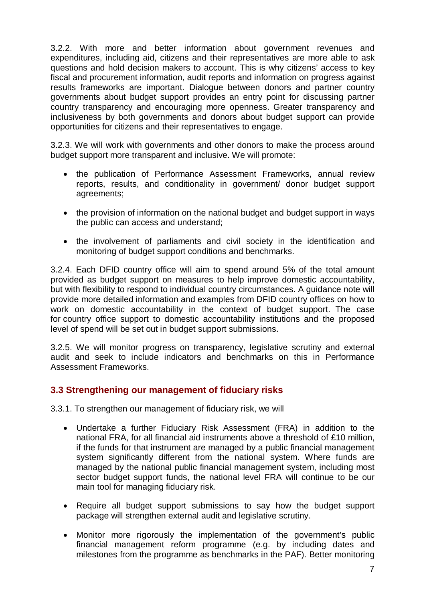3.2.2. With more and better information about government revenues and expenditures, including aid, citizens and their representatives are more able to ask questions and hold decision makers to account. This is why citizens' access to key fiscal and procurement information, audit reports and information on progress against results frameworks are important. Dialogue between donors and partner country governments about budget support provides an entry point for discussing partner country transparency and encouraging more openness. Greater transparency and inclusiveness by both governments and donors about budget support can provide opportunities for citizens and their representatives to engage.

3.2.3. We will work with governments and other donors to make the process around budget support more transparent and inclusive. We will promote:

- the publication of Performance Assessment Frameworks, annual review reports, results, and conditionality in government/ donor budget support agreements;
- the provision of information on the national budget and budget support in ways the public can access and understand;
- the involvement of parliaments and civil society in the identification and monitoring of budget support conditions and benchmarks.

3.2.4. Each DFID country office will aim to spend around 5% of the total amount provided as budget support on measures to help improve domestic accountability, but with flexibility to respond to individual country circumstances. A guidance note will provide more detailed information and examples from DFID country offices on how to work on domestic accountability in the context of budget support. The case for country office support to domestic accountability institutions and the proposed level of spend will be set out in budget support submissions.

3.2.5. We will monitor progress on transparency, legislative scrutiny and external audit and seek to include indicators and benchmarks on this in Performance Assessment Frameworks.

## **3.3 Strengthening our management of fiduciary risks**

3.3.1. To strengthen our management of fiduciary risk, we will

- Undertake a further Fiduciary Risk Assessment (FRA) in addition to the national FRA, for all financial aid instruments above a threshold of £10 million, if the funds for that instrument are managed by a public financial management system significantly different from the national system. Where funds are managed by the national public financial management system, including most sector budget support funds, the national level FRA will continue to be our main tool for managing fiduciary risk.
- Require all budget support submissions to say how the budget support package will strengthen external audit and legislative scrutiny.
- Monitor more rigorously the implementation of the government's public financial management reform programme (e.g. by including dates and milestones from the programme as benchmarks in the PAF). Better monitoring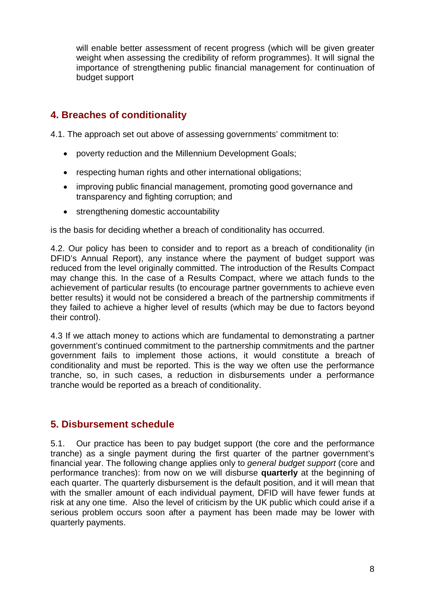will enable better assessment of recent progress (which will be given greater weight when assessing the credibility of reform programmes). It will signal the importance of strengthening public financial management for continuation of budget support

# **4. Breaches of conditionality**

4.1. The approach set out above of assessing governments' commitment to:

- poverty reduction and the Millennium Development Goals;
- respecting human rights and other international obligations;
- improving public financial management, promoting good governance and transparency and fighting corruption; and
- strengthening domestic accountability

is the basis for deciding whether a breach of conditionality has occurred.

4.2. Our policy has been to consider and to report as a breach of conditionality (in DFID's Annual Report), any instance where the payment of budget support was reduced from the level originally committed. The introduction of the Results Compact may change this. In the case of a Results Compact, where we attach funds to the achievement of particular results (to encourage partner governments to achieve even better results) it would not be considered a breach of the partnership commitments if they failed to achieve a higher level of results (which may be due to factors beyond their control).

4.3 If we attach money to actions which are fundamental to demonstrating a partner government's continued commitment to the partnership commitments and the partner government fails to implement those actions, it would constitute a breach of conditionality and must be reported. This is the way we often use the performance tranche, so, in such cases, a reduction in disbursements under a performance tranche would be reported as a breach of conditionality.

# **5. Disbursement schedule**

5.1. Our practice has been to pay budget support (the core and the performance tranche) as a single payment during the first quarter of the partner government's financial year. The following change applies only to *general budget support* (core and performance tranches): from now on we will disburse **quarterly** at the beginning of each quarter. The quarterly disbursement is the default position, and it will mean that with the smaller amount of each individual payment. DFID will have fewer funds at risk at any one time. Also the level of criticism by the UK public which could arise if a serious problem occurs soon after a payment has been made may be lower with quarterly payments.